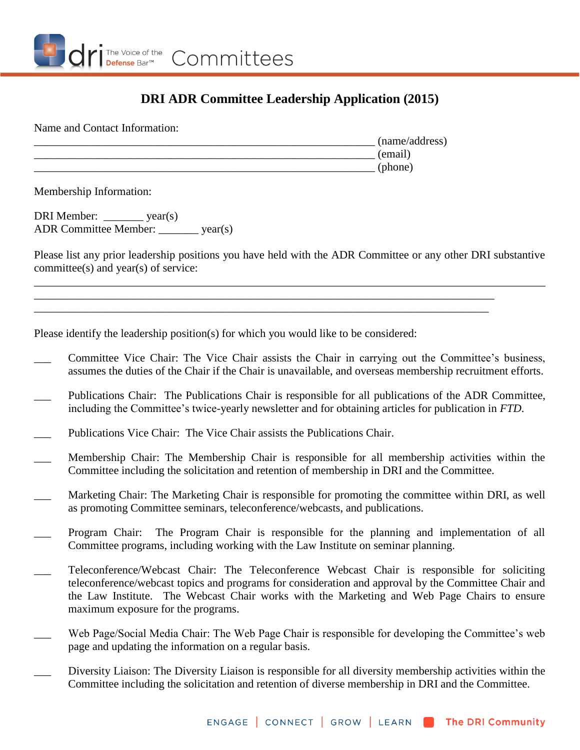

## **DRI ADR Committee Leadership Application (2015)**

Name and Contact Information:

\_\_\_\_\_\_\_\_\_\_\_\_\_\_\_\_\_\_\_\_\_\_\_\_\_\_\_\_\_\_\_\_\_\_\_\_\_\_\_\_\_\_\_\_\_\_\_\_\_\_\_\_\_\_\_\_\_\_\_\_ (name/address)  $(e^{\text{mail}})$  $(\text{phone})$ 

Membership Information:

DRI Member: vear(s) ADR Committee Member: \_\_\_\_\_\_\_ year(s)

Please list any prior leadership positions you have held with the ADR Committee or any other DRI substantive committee(s) and year(s) of service:

\_\_\_\_\_\_\_\_\_\_\_\_\_\_\_\_\_\_\_\_\_\_\_\_\_\_\_\_\_\_\_\_\_\_\_\_\_\_\_\_\_\_\_\_\_\_\_\_\_\_\_\_\_\_\_\_\_\_\_\_\_\_\_\_\_\_\_\_\_\_\_\_\_\_\_\_\_\_\_\_\_\_\_\_\_\_\_\_\_\_

\_\_\_\_\_\_\_\_\_\_\_\_\_\_\_\_\_\_\_\_\_\_\_\_\_\_\_\_\_\_\_\_\_\_\_\_\_\_\_\_\_\_\_\_\_\_\_\_\_\_\_\_\_\_\_\_\_\_\_\_\_\_\_\_\_\_\_\_\_\_\_\_\_\_\_\_\_\_\_\_\_ \_\_\_\_\_\_\_\_\_\_\_\_\_\_\_\_\_\_\_\_\_\_\_\_\_\_\_\_\_\_\_\_\_\_\_\_\_\_\_\_\_\_\_\_\_\_\_\_\_\_\_\_\_\_\_\_\_\_\_\_\_\_\_\_\_\_\_\_\_\_\_\_\_\_\_\_\_\_\_\_

Please identify the leadership position(s) for which you would like to be considered:

- Committee Vice Chair: The Vice Chair assists the Chair in carrying out the Committee's business, assumes the duties of the Chair if the Chair is unavailable, and overseas membership recruitment efforts.
- Publications Chair: The Publications Chair is responsible for all publications of the ADR Committee, including the Committee's twice-yearly newsletter and for obtaining articles for publication in *FTD*.
- Publications Vice Chair: The Vice Chair assists the Publications Chair.
- \_\_\_ Membership Chair: The Membership Chair is responsible for all membership activities within the Committee including the solicitation and retention of membership in DRI and the Committee.
- Marketing Chair: The Marketing Chair is responsible for promoting the committee within DRI, as well as promoting Committee seminars, teleconference/webcasts, and publications.
- Program Chair: The Program Chair is responsible for the planning and implementation of all Committee programs, including working with the Law Institute on seminar planning.
- Teleconference/Webcast Chair: The Teleconference Webcast Chair is responsible for soliciting teleconference/webcast topics and programs for consideration and approval by the Committee Chair and the Law Institute. The Webcast Chair works with the Marketing and Web Page Chairs to ensure maximum exposure for the programs.
- Web Page/Social Media Chair: The Web Page Chair is responsible for developing the Committee's web page and updating the information on a regular basis.
- Diversity Liaison: The Diversity Liaison is responsible for all diversity membership activities within the Committee including the solicitation and retention of diverse membership in DRI and the Committee.